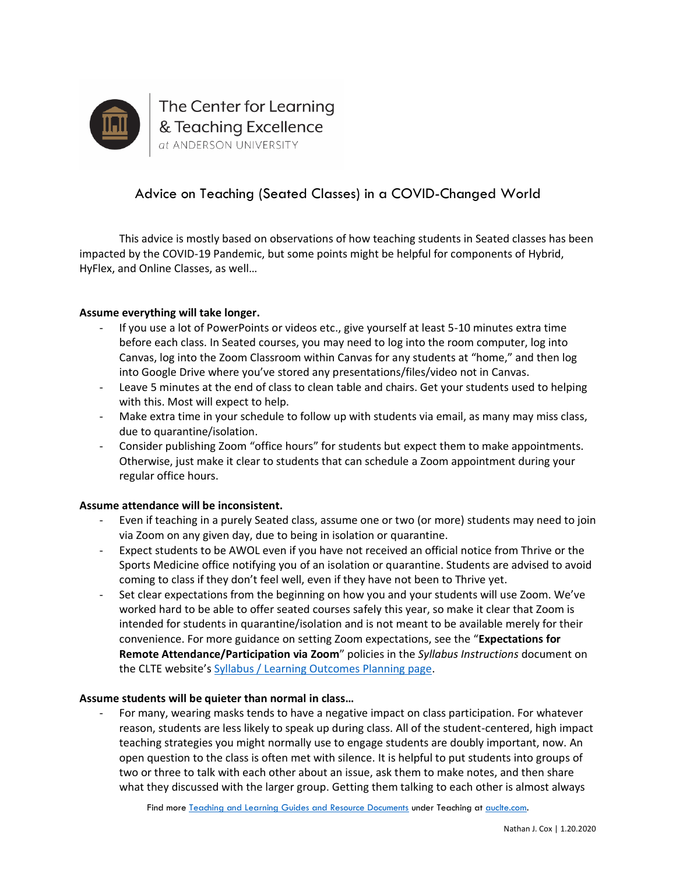

# Advice on Teaching (Seated Classes) in a COVID-Changed World

This advice is mostly based on observations of how teaching students in Seated classes has been impacted by the COVID-19 Pandemic, but some points might be helpful for components of Hybrid, HyFlex, and Online Classes, as well…

### **Assume everything will take longer.**

- If you use a lot of PowerPoints or videos etc., give yourself at least 5-10 minutes extra time before each class. In Seated courses, you may need to log into the room computer, log into Canvas, log into the Zoom Classroom within Canvas for any students at "home," and then log into Google Drive where you've stored any presentations/files/video not in Canvas.
- Leave 5 minutes at the end of class to clean table and chairs. Get your students used to helping with this. Most will expect to help.
- Make extra time in your schedule to follow up with students via email, as many may miss class, due to quarantine/isolation.
- Consider publishing Zoom "office hours" for students but expect them to make appointments. Otherwise, just make it clear to students that can schedule a Zoom appointment during your regular office hours.

#### **Assume attendance will be inconsistent.**

- Even if teaching in a purely Seated class, assume one or two (or more) students may need to join via Zoom on any given day, due to being in isolation or quarantine.
- Expect students to be AWOL even if you have not received an official notice from Thrive or the Sports Medicine office notifying you of an isolation or quarantine. Students are advised to avoid coming to class if they don't feel well, even if they have not been to Thrive yet.
- Set clear expectations from the beginning on how you and your students will use Zoom. We've worked hard to be able to offer seated courses safely this year, so make it clear that Zoom is intended for students in quarantine/isolation and is not meant to be available merely for their convenience. For more guidance on setting Zoom expectations, see the "**Expectations for Remote Attendance/Participation via Zoom**" policies in the *Syllabus Instructions* document on the CLTE website's [Syllabus / Learning Outcomes Planning page.](https://www.auclte.com/syllabus-learning-outcome-planning)

#### **Assume students will be quieter than normal in class…**

- For many, wearing masks tends to have a negative impact on class participation. For whatever reason, students are less likely to speak up during class. All of the student-centered, high impact teaching strategies you might normally use to engage students are doubly important, now. An open question to the class is often met with silence. It is helpful to put students into groups of two or three to talk with each other about an issue, ask them to make notes, and then share what they discussed with the larger group. Getting them talking to each other is almost always

Find more [Teaching and Learning Guides and Resource Documents](https://www.auclte.com/guides-and-resources) under Teaching a[t auclte.com.](https://www.auclte.com/)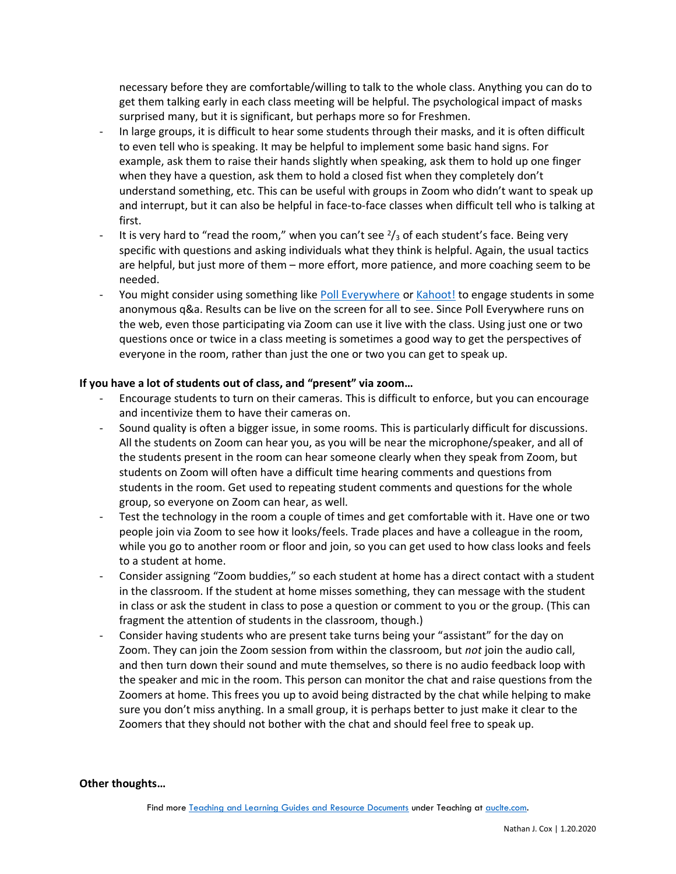necessary before they are comfortable/willing to talk to the whole class. Anything you can do to get them talking early in each class meeting will be helpful. The psychological impact of masks surprised many, but it is significant, but perhaps more so for Freshmen.

- In large groups, it is difficult to hear some students through their masks, and it is often difficult to even tell who is speaking. It may be helpful to implement some basic hand signs. For example, ask them to raise their hands slightly when speaking, ask them to hold up one finger when they have a question, ask them to hold a closed fist when they completely don't understand something, etc. This can be useful with groups in Zoom who didn't want to speak up and interrupt, but it can also be helpful in face-to-face classes when difficult tell who is talking at first.
- It is very hard to "read the room," when you can't see  $\frac{2}{3}$  of each student's face. Being very specific with questions and asking individuals what they think is helpful. Again, the usual tactics are helpful, but just more of them – more effort, more patience, and more coaching seem to be needed.
- You might consider using something like [Poll Everywhere](https://www.polleverywhere.com/) or [Kahoot!](https://kahoot.com/) to engage students in some anonymous q&a. Results can be live on the screen for all to see. Since Poll Everywhere runs on the web, even those participating via Zoom can use it live with the class. Using just one or two questions once or twice in a class meeting is sometimes a good way to get the perspectives of everyone in the room, rather than just the one or two you can get to speak up.

## **If you have a lot of students out of class, and "present" via zoom…**

- Encourage students to turn on their cameras. This is difficult to enforce, but you can encourage and incentivize them to have their cameras on.
- Sound quality is often a bigger issue, in some rooms. This is particularly difficult for discussions. All the students on Zoom can hear you, as you will be near the microphone/speaker, and all of the students present in the room can hear someone clearly when they speak from Zoom, but students on Zoom will often have a difficult time hearing comments and questions from students in the room. Get used to repeating student comments and questions for the whole group, so everyone on Zoom can hear, as well.
- Test the technology in the room a couple of times and get comfortable with it. Have one or two people join via Zoom to see how it looks/feels. Trade places and have a colleague in the room, while you go to another room or floor and join, so you can get used to how class looks and feels to a student at home.
- Consider assigning "Zoom buddies," so each student at home has a direct contact with a student in the classroom. If the student at home misses something, they can message with the student in class or ask the student in class to pose a question or comment to you or the group. (This can fragment the attention of students in the classroom, though.)
- Consider having students who are present take turns being your "assistant" for the day on Zoom. They can join the Zoom session from within the classroom, but *not* join the audio call, and then turn down their sound and mute themselves, so there is no audio feedback loop with the speaker and mic in the room. This person can monitor the chat and raise questions from the Zoomers at home. This frees you up to avoid being distracted by the chat while helping to make sure you don't miss anything. In a small group, it is perhaps better to just make it clear to the Zoomers that they should not bother with the chat and should feel free to speak up.

#### **Other thoughts…**